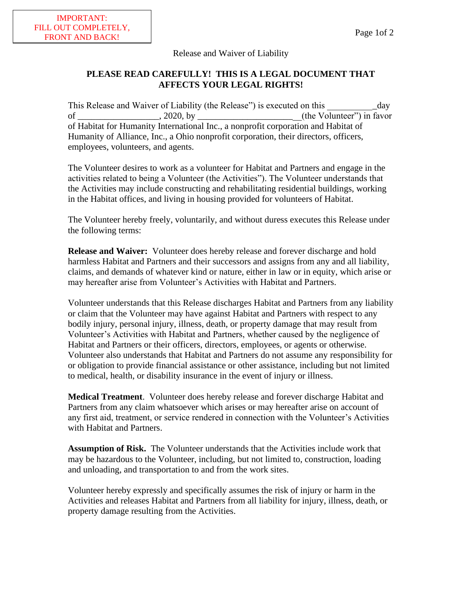## Release and Waiver of Liability

## **PLEASE READ CAREFULLY! THIS IS A LEGAL DOCUMENT THAT AFFECTS YOUR LEGAL RIGHTS!**

This Release and Waiver of Liability (the Release") is executed on this \_\_\_\_\_\_\_\_\_\_ of \_\_\_\_\_\_\_\_\_\_\_\_\_\_\_\_, 2020, by \_\_\_\_\_\_\_\_\_\_\_\_\_\_\_\_\_\_\_\_\_\_\_\_\_\_\_(the Volunteer") in favor of Habitat for Humanity International Inc., a nonprofit corporation and Habitat of Humanity of Alliance, Inc., a Ohio nonprofit corporation, their directors, officers, employees, volunteers, and agents.

The Volunteer desires to work as a volunteer for Habitat and Partners and engage in the activities related to being a Volunteer (the Activities"). The Volunteer understands that the Activities may include constructing and rehabilitating residential buildings, working in the Habitat offices, and living in housing provided for volunteers of Habitat.

The Volunteer hereby freely, voluntarily, and without duress executes this Release under the following terms:

**Release and Waiver:** Volunteer does hereby release and forever discharge and hold harmless Habitat and Partners and their successors and assigns from any and all liability, claims, and demands of whatever kind or nature, either in law or in equity, which arise or may hereafter arise from Volunteer's Activities with Habitat and Partners.

Volunteer understands that this Release discharges Habitat and Partners from any liability or claim that the Volunteer may have against Habitat and Partners with respect to any bodily injury, personal injury, illness, death, or property damage that may result from Volunteer's Activities with Habitat and Partners, whether caused by the negligence of Habitat and Partners or their officers, directors, employees, or agents or otherwise. Volunteer also understands that Habitat and Partners do not assume any responsibility for or obligation to provide financial assistance or other assistance, including but not limited to medical, health, or disability insurance in the event of injury or illness.

**Medical Treatment**. Volunteer does hereby release and forever discharge Habitat and Partners from any claim whatsoever which arises or may hereafter arise on account of any first aid, treatment, or service rendered in connection with the Volunteer's Activities with Habitat and Partners.

**Assumption of Risk.** The Volunteer understands that the Activities include work that may be hazardous to the Volunteer, including, but not limited to, construction, loading and unloading, and transportation to and from the work sites.

Volunteer hereby expressly and specifically assumes the risk of injury or harm in the Activities and releases Habitat and Partners from all liability for injury, illness, death, or property damage resulting from the Activities.